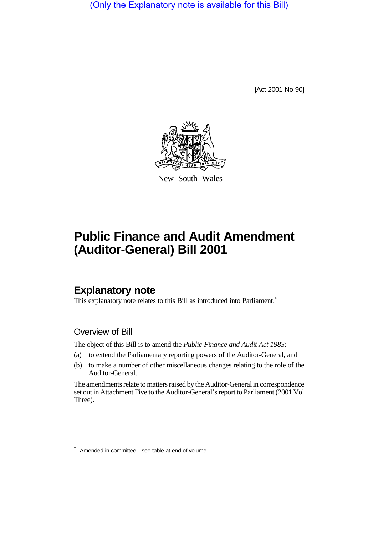(Only the Explanatory note is available for this Bill)

[Act 2001 No 90]



New South Wales

# **Public Finance and Audit Amendment (Auditor-General) Bill 2001**

## **Explanatory note**

This explanatory note relates to this Bill as introduced into Parliament.<sup>\*</sup>

#### Overview of Bill

The object of this Bill is to amend the *Public Finance and Audit Act 1983*:

- (a) to extend the Parliamentary reporting powers of the Auditor-General, and
- (b) to make a number of other miscellaneous changes relating to the role of the Auditor-General.

The amendments relate to matters raised by the Auditor-General in correspondence set out in Attachment Five to the Auditor-General's report to Parliament (2001 Vol Three).

<sup>\*</sup> Amended in committee—see table at end of volume.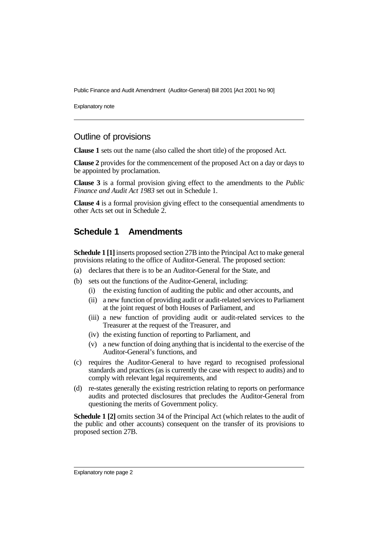Public Finance and Audit Amendment (Auditor-General) Bill 2001 [Act 2001 No 90]

Explanatory note

#### Outline of provisions

**Clause 1** sets out the name (also called the short title) of the proposed Act.

**Clause 2** provides for the commencement of the proposed Act on a day or days to be appointed by proclamation.

**Clause 3** is a formal provision giving effect to the amendments to the *Public Finance and Audit Act 1983* set out in Schedule 1.

**Clause 4** is a formal provision giving effect to the consequential amendments to other Acts set out in Schedule 2.

#### **Schedule 1 Amendments**

**Schedule 1 [1]** inserts proposed section 27B into the Principal Act to make general provisions relating to the office of Auditor-General. The proposed section:

- (a) declares that there is to be an Auditor-General for the State, and
- (b) sets out the functions of the Auditor-General, including:
	- (i) the existing function of auditing the public and other accounts, and
	- (ii) a new function of providing audit or audit-related services to Parliament at the joint request of both Houses of Parliament, and
	- (iii) a new function of providing audit or audit-related services to the Treasurer at the request of the Treasurer, and
	- (iv) the existing function of reporting to Parliament, and
	- (v) a new function of doing anything that is incidental to the exercise of the Auditor-General's functions, and
- (c) requires the Auditor-General to have regard to recognised professional standards and practices (as is currently the case with respect to audits) and to comply with relevant legal requirements, and
- (d) re-states generally the existing restriction relating to reports on performance audits and protected disclosures that precludes the Auditor-General from questioning the merits of Government policy.

**Schedule 1 [2]** omits section 34 of the Principal Act (which relates to the audit of the public and other accounts) consequent on the transfer of its provisions to proposed section 27B.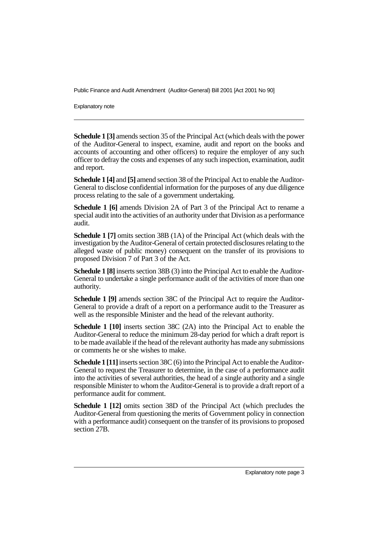Public Finance and Audit Amendment (Auditor-General) Bill 2001 [Act 2001 No 90]

Explanatory note

**Schedule 1 [3]** amends section 35 of the Principal Act (which deals with the power of the Auditor-General to inspect, examine, audit and report on the books and accounts of accounting and other officers) to require the employer of any such officer to defray the costs and expenses of any such inspection, examination, audit and report.

**Schedule 1 [4]** and **[5]** amend section 38 of the Principal Act to enable the Auditor-General to disclose confidential information for the purposes of any due diligence process relating to the sale of a government undertaking.

**Schedule 1 [6]** amends Division 2A of Part 3 of the Principal Act to rename a special audit into the activities of an authority under that Division as a performance audit.

**Schedule 1 [7]** omits section 38B (1A) of the Principal Act (which deals with the investigation by the Auditor-General of certain protected disclosures relating to the alleged waste of public money) consequent on the transfer of its provisions to proposed Division 7 of Part 3 of the Act.

**Schedule 1 [8]** inserts section 38B (3) into the Principal Act to enable the Auditor-General to undertake a single performance audit of the activities of more than one authority.

**Schedule 1 [9]** amends section 38C of the Principal Act to require the Auditor-General to provide a draft of a report on a performance audit to the Treasurer as well as the responsible Minister and the head of the relevant authority.

**Schedule 1 [10]** inserts section 38C (2A) into the Principal Act to enable the Auditor-General to reduce the minimum 28-day period for which a draft report is to be made available if the head of the relevant authority has made any submissions or comments he or she wishes to make.

**Schedule 1 [11]** inserts section 38C (6) into the Principal Act to enable the Auditor-General to request the Treasurer to determine, in the case of a performance audit into the activities of several authorities, the head of a single authority and a single responsible Minister to whom the Auditor-General is to provide a draft report of a performance audit for comment.

**Schedule 1 [12]** omits section 38D of the Principal Act (which precludes the Auditor-General from questioning the merits of Government policy in connection with a performance audit) consequent on the transfer of its provisions to proposed section 27**B**.